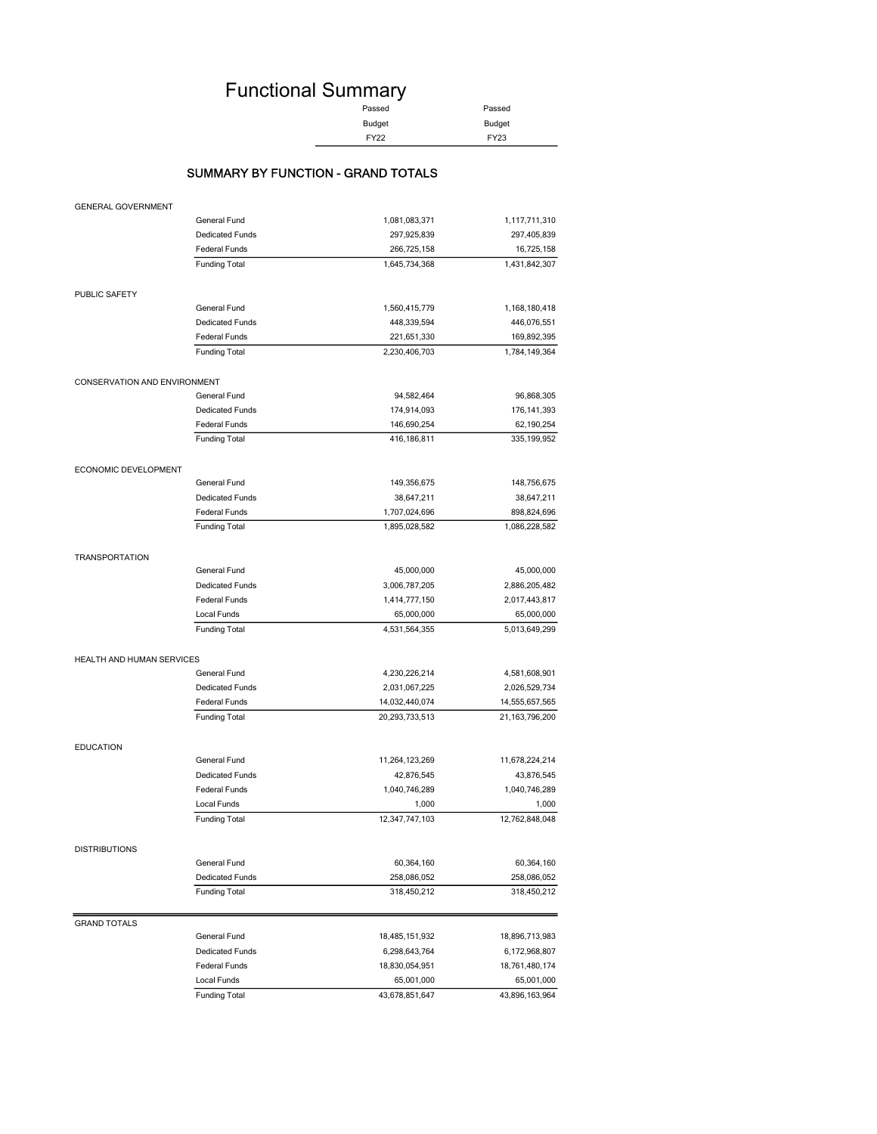# Functional Summary

| Passed        | Passed      |
|---------------|-------------|
| <b>Budget</b> | Budget      |
| <b>FY22</b>   | <b>FY23</b> |

### SUMMARY BY FUNCTION - GRAND TOTALS

| <b>GENERAL GOVERNMENT</b>        |                        |                |                |
|----------------------------------|------------------------|----------------|----------------|
|                                  | General Fund           | 1,081,083,371  | 1,117,711,310  |
|                                  | <b>Dedicated Funds</b> | 297,925,839    | 297,405,839    |
|                                  | Federal Funds          | 266,725,158    | 16,725,158     |
|                                  | <b>Funding Total</b>   | 1,645,734,368  | 1,431,842,307  |
| PUBLIC SAFETY                    |                        |                |                |
|                                  | General Fund           | 1,560,415,779  | 1,168,180,418  |
|                                  | <b>Dedicated Funds</b> | 448,339,594    | 446,076,551    |
|                                  | <b>Federal Funds</b>   | 221,651,330    | 169,892,395    |
|                                  | <b>Funding Total</b>   | 2,230,406,703  | 1,784,149,364  |
| CONSERVATION AND ENVIRONMENT     |                        |                |                |
|                                  | General Fund           | 94,582,464     | 96,868,305     |
|                                  | <b>Dedicated Funds</b> | 174,914,093    | 176, 141, 393  |
|                                  | <b>Federal Funds</b>   | 146,690,254    | 62,190,254     |
|                                  | <b>Funding Total</b>   | 416,186,811    | 335, 199, 952  |
| ECONOMIC DEVELOPMENT             |                        |                |                |
|                                  | General Fund           | 149,356,675    | 148,756,675    |
|                                  | <b>Dedicated Funds</b> | 38,647,211     | 38,647,211     |
|                                  | <b>Federal Funds</b>   | 1,707,024,696  | 898,824,696    |
|                                  | <b>Funding Total</b>   | 1,895,028,582  | 1,086,228,582  |
| <b>TRANSPORTATION</b>            |                        |                |                |
|                                  | General Fund           | 45,000,000     | 45,000,000     |
|                                  | <b>Dedicated Funds</b> | 3,006,787,205  | 2,886,205,482  |
|                                  | <b>Federal Funds</b>   | 1,414,777,150  | 2,017,443,817  |
|                                  | Local Funds            | 65,000,000     | 65,000,000     |
|                                  | <b>Funding Total</b>   | 4,531,564,355  | 5,013,649,299  |
| <b>HEALTH AND HUMAN SERVICES</b> |                        |                |                |
|                                  | General Fund           | 4,230,226,214  | 4,581,608,901  |
|                                  | <b>Dedicated Funds</b> | 2,031,067,225  | 2,026,529,734  |
|                                  | <b>Federal Funds</b>   | 14,032,440,074 | 14,555,657,565 |
|                                  | <b>Funding Total</b>   | 20,293,733,513 | 21,163,796,200 |
| <b>EDUCATION</b>                 |                        |                |                |
|                                  | General Fund           | 11,264,123,269 | 11,678,224,214 |
|                                  | <b>Dedicated Funds</b> | 42,876,545     | 43,876,545     |
|                                  | <b>Federal Funds</b>   | 1,040,746,289  | 1,040,746,289  |
|                                  | Local Funds            | 1,000          | 1,000          |
|                                  | <b>Funding Total</b>   | 12,347,747,103 | 12,762,848,048 |
| <b>DISTRIBUTIONS</b>             |                        |                |                |
|                                  | General Fund           | 60,364,160     | 60,364,160     |
|                                  | <b>Dedicated Funds</b> | 258,086,052    | 258,086,052    |
|                                  | <b>Funding Total</b>   | 318,450,212    | 318,450,212    |
| <b>GRAND TOTALS</b>              |                        |                |                |
|                                  | General Fund           | 18,485,151,932 | 18,896,713,983 |
|                                  | <b>Dedicated Funds</b> | 6,298,643,764  | 6,172,968,807  |
|                                  | <b>Federal Funds</b>   | 18,830,054,951 | 18,761,480,174 |
|                                  | Local Funds            | 65,001,000     | 65,001,000     |
|                                  | <b>Funding Total</b>   | 43,678,851,647 | 43,896,163,964 |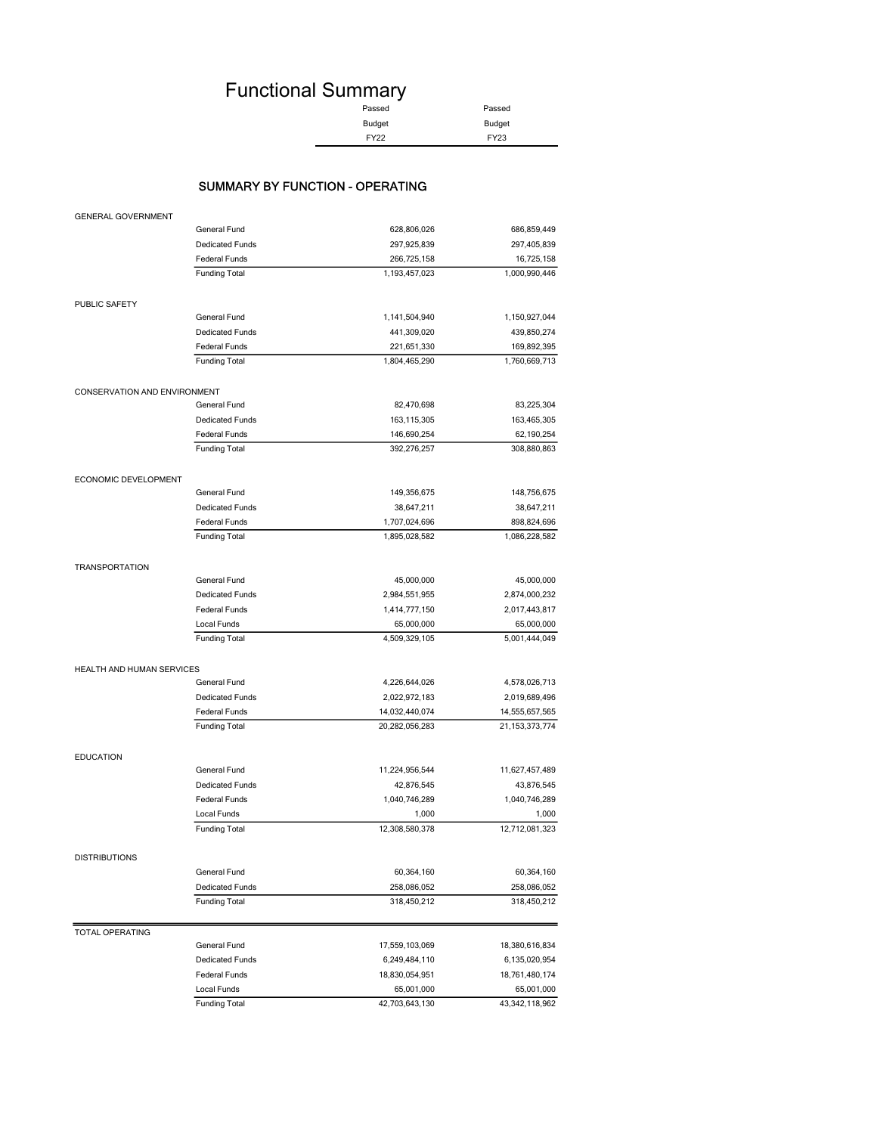# Functional Summary

| Passed        | Passed      |
|---------------|-------------|
| <b>Budget</b> | Budget      |
| FY22          | <b>FY23</b> |

#### SUMMARY BY FUNCTION - OPERATING

| <b>GENERAL GOVERNMENT</b>        |                        |                |                   |
|----------------------------------|------------------------|----------------|-------------------|
|                                  | General Fund           | 628,806,026    | 686,859,449       |
|                                  | <b>Dedicated Funds</b> | 297,925,839    | 297,405,839       |
|                                  | <b>Federal Funds</b>   | 266,725,158    | 16,725,158        |
|                                  | <b>Funding Total</b>   | 1,193,457,023  | 1,000,990,446     |
| PUBLIC SAFETY                    |                        |                |                   |
|                                  | General Fund           | 1,141,504,940  | 1,150,927,044     |
|                                  | <b>Dedicated Funds</b> | 441,309,020    | 439,850,274       |
|                                  | <b>Federal Funds</b>   | 221,651,330    | 169,892,395       |
|                                  | <b>Funding Total</b>   | 1,804,465,290  | 1,760,669,713     |
| CONSERVATION AND ENVIRONMENT     |                        |                |                   |
|                                  | General Fund           | 82,470,698     | 83,225,304        |
|                                  | <b>Dedicated Funds</b> | 163, 115, 305  | 163,465,305       |
|                                  | <b>Federal Funds</b>   | 146,690,254    | 62,190,254        |
|                                  | <b>Funding Total</b>   | 392,276,257    | 308,880,863       |
| ECONOMIC DEVELOPMENT             |                        |                |                   |
|                                  | General Fund           | 149,356,675    | 148,756,675       |
|                                  | <b>Dedicated Funds</b> | 38,647,211     | 38,647,211        |
|                                  | <b>Federal Funds</b>   | 1,707,024,696  | 898,824,696       |
|                                  | <b>Funding Total</b>   | 1,895,028,582  | 1,086,228,582     |
| <b>TRANSPORTATION</b>            |                        |                |                   |
|                                  | General Fund           | 45,000,000     | 45,000,000        |
|                                  | <b>Dedicated Funds</b> | 2,984,551,955  | 2,874,000,232     |
|                                  | <b>Federal Funds</b>   | 1,414,777,150  | 2,017,443,817     |
|                                  | Local Funds            | 65,000,000     | 65,000,000        |
|                                  | <b>Funding Total</b>   | 4,509,329,105  | 5,001,444,049     |
| <b>HEALTH AND HUMAN SERVICES</b> |                        |                |                   |
|                                  | General Fund           | 4,226,644,026  | 4,578,026,713     |
|                                  | <b>Dedicated Funds</b> | 2,022,972,183  | 2,019,689,496     |
|                                  | <b>Federal Funds</b>   | 14,032,440,074 | 14,555,657,565    |
|                                  | <b>Funding Total</b>   | 20,282,056,283 | 21, 153, 373, 774 |
| <b>EDUCATION</b>                 |                        |                |                   |
|                                  | General Fund           | 11,224,956,544 | 11,627,457,489    |
|                                  | <b>Dedicated Funds</b> | 42,876,545     | 43,876,545        |
|                                  | <b>Federal Funds</b>   | 1,040,746,289  | 1,040,746,289     |
|                                  | Local Funds            | 1,000          | 1,000             |
|                                  | <b>Funding Total</b>   | 12,308,580,378 | 12,712,081,323    |
| <b>DISTRIBUTIONS</b>             |                        |                |                   |
|                                  | General Fund           | 60,364,160     | 60,364,160        |
|                                  | <b>Dedicated Funds</b> | 258,086,052    | 258,086,052       |
|                                  | <b>Funding Total</b>   | 318,450,212    | 318,450,212       |
| TOTAL OPERATING                  |                        |                |                   |
|                                  | General Fund           | 17,559,103,069 | 18,380,616,834    |
|                                  | <b>Dedicated Funds</b> | 6,249,484,110  | 6,135,020,954     |
|                                  | <b>Federal Funds</b>   | 18,830,054,951 | 18,761,480,174    |
|                                  | Local Funds            | 65,001,000     | 65,001,000        |
|                                  | <b>Funding Total</b>   | 42,703,643,130 | 43,342,118,962    |